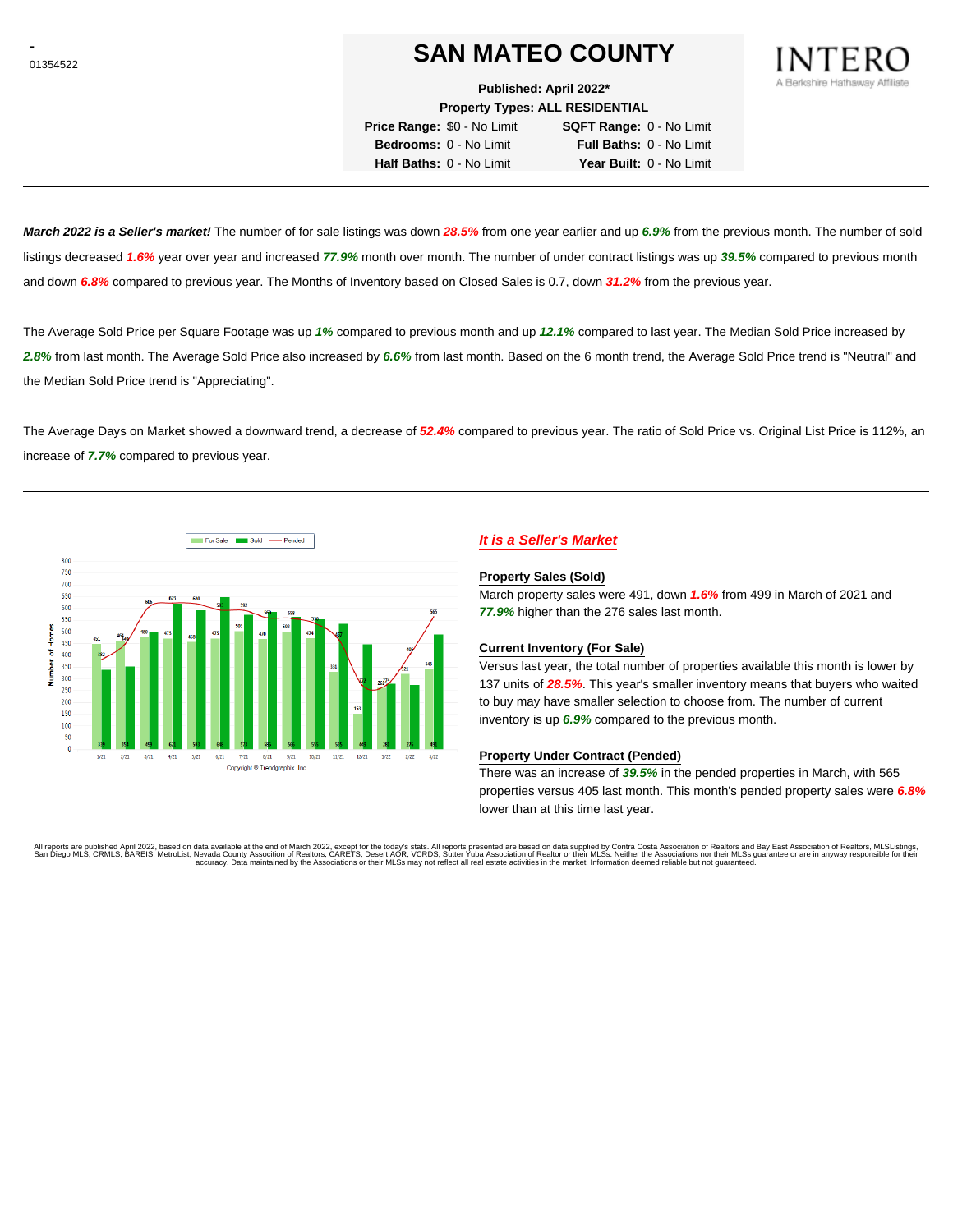# **SAN MATEO COUNTY**

**Published: April 2022\***

**Property Types: ALL RESIDENTIAL**

**Price Range:** \$0 - No Limit **SQFT Range:** 0 - No Limit **Bedrooms:** 0 - No Limit **Full Baths:** 0 - No Limit **Half Baths:** 0 - No Limit **Year Built:** 0 - No Limit

**March 2022 is a Seller's market!** The number of for sale listings was down **28.5%** from one year earlier and up **6.9%** from the previous month. The number of sold listings decreased **1.6%** year over year and increased **77.9%** month over month. The number of under contract listings was up **39.5%** compared to previous month and down **6.8%** compared to previous year. The Months of Inventory based on Closed Sales is 0.7, down **31.2%** from the previous year.

The Average Sold Price per Square Footage was up **1%** compared to previous month and up **12.1%** compared to last year. The Median Sold Price increased by **2.8%** from last month. The Average Sold Price also increased by **6.6%** from last month. Based on the 6 month trend, the Average Sold Price trend is "Neutral" and the Median Sold Price trend is "Appreciating".

The Average Days on Market showed a downward trend, a decrease of **52.4%** compared to previous year. The ratio of Sold Price vs. Original List Price is 112%, an increase of **7.7%** compared to previous year.



# **It is a Seller's Market**

#### **Property Sales (Sold)**

March property sales were 491, down **1.6%** from 499 in March of 2021 and **77.9%** higher than the 276 sales last month.

#### **Current Inventory (For Sale)**

Versus last year, the total number of properties available this month is lower by 137 units of **28.5%**. This year's smaller inventory means that buyers who waited to buy may have smaller selection to choose from. The number of current inventory is up **6.9%** compared to the previous month.

#### **Property Under Contract (Pended)**

There was an increase of **39.5%** in the pended properties in March, with 565 properties versus 405 last month. This month's pended property sales were **6.8%** lower than at this time last year.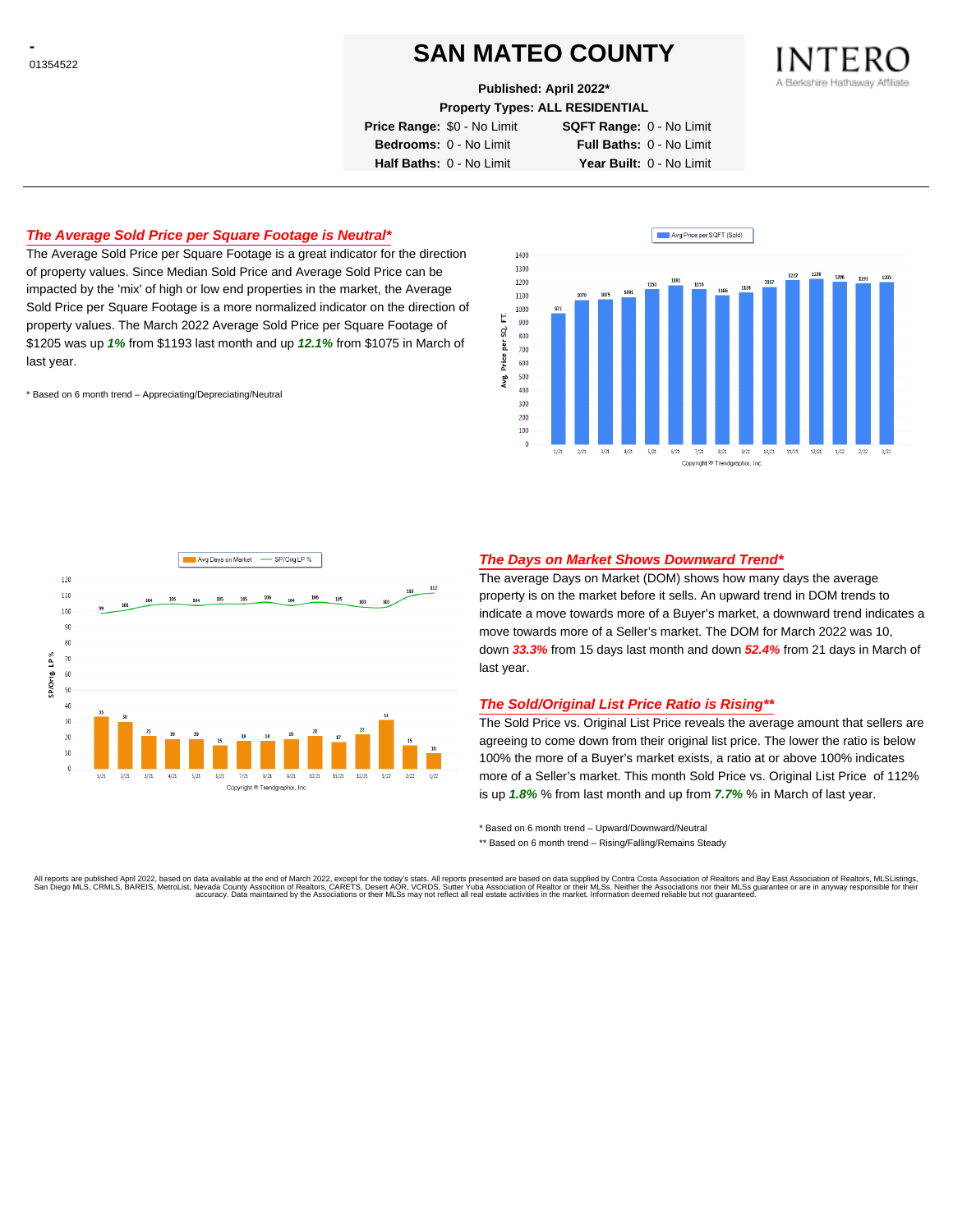# **SAN MATEO COUNTY**

**Published: April 2022\***

**Property Types: ALL RESIDENTIAL**

**Price Range:** \$0 - No Limit **SQFT Range:** 0 - No Limit **Bedrooms:** 0 - No Limit **Full Baths:** 0 - No Limit **Half Baths:** 0 - No Limit **Year Built:** 0 - No Limit

# **The Average Sold Price per Square Footage is Neutral\***

The Average Sold Price per Square Footage is a great indicator for the direction of property values. Since Median Sold Price and Average Sold Price can be impacted by the 'mix' of high or low end properties in the market, the Average Sold Price per Square Footage is a more normalized indicator on the direction of property values. The March 2022 Average Sold Price per Square Footage of \$1205 was up **1%** from \$1193 last month and up **12.1%** from \$1075 in March of last year.

\* Based on 6 month trend – Appreciating/Depreciating/Neutral





## **The Days on Market Shows Downward Trend\***

The average Days on Market (DOM) shows how many days the average property is on the market before it sells. An upward trend in DOM trends to indicate a move towards more of a Buyer's market, a downward trend indicates a move towards more of a Seller's market. The DOM for March 2022 was 10, down **33.3%** from 15 days last month and down **52.4%** from 21 days in March of last year.

## **The Sold/Original List Price Ratio is Rising\*\***

The Sold Price vs. Original List Price reveals the average amount that sellers are agreeing to come down from their original list price. The lower the ratio is below 100% the more of a Buyer's market exists, a ratio at or above 100% indicates more of a Seller's market. This month Sold Price vs. Original List Price of 112% is up **1.8%** % from last month and up from **7.7%** % in March of last year.

\* Based on 6 month trend – Upward/Downward/Neutral

\*\* Based on 6 month trend - Rising/Falling/Remains Steady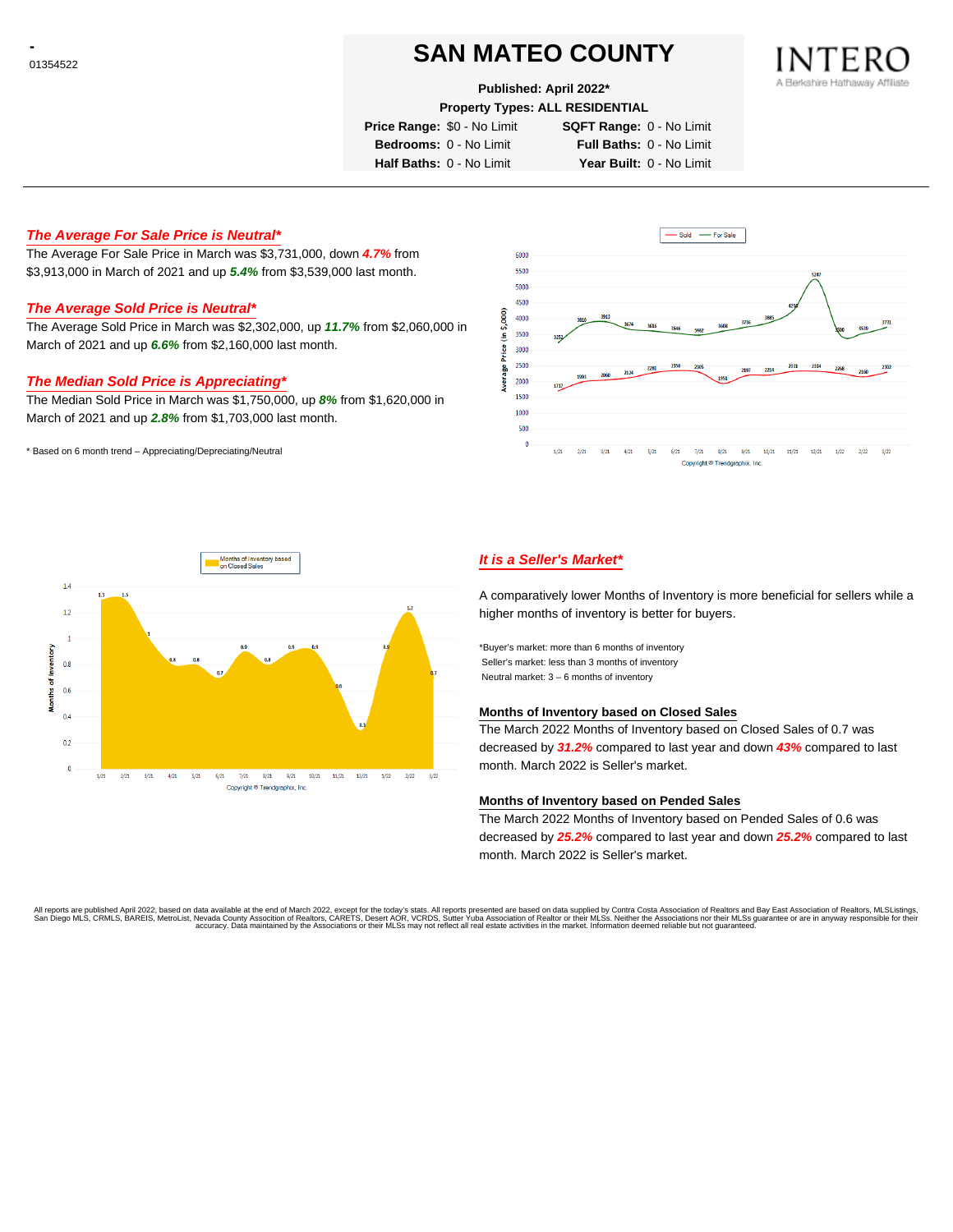# **SAN MATEO COUNTY**

**Published: April 2022\***

**Property Types: ALL RESIDENTIAL**

**Price Range:** \$0 - No Limit **SQFT Range:** 0 - No Limit

**Bedrooms:** 0 - No Limit **Full Baths:** 0 - No Limit

**Half Baths:** 0 - No Limit **Year Built:** 0 - No Limit

# **The Average For Sale Price is Neutral\***

The Average For Sale Price in March was \$3,731,000, down **4.7%** from \$3,913,000 in March of 2021 and up **5.4%** from \$3,539,000 last month.

## **The Average Sold Price is Neutral\***

The Average Sold Price in March was \$2,302,000, up **11.7%** from \$2,060,000 in March of 2021 and up **6.6%** from \$2,160,000 last month.

## **The Median Sold Price is Appreciating\***

The Median Sold Price in March was \$1,750,000, up **8%** from \$1,620,000 in March of 2021 and up **2.8%** from \$1,703,000 last month.

\* Based on 6 month trend – Appreciating/Depreciating/Neutral





# **It is a Seller's Market\***

A comparatively lower Months of Inventory is more beneficial for sellers while a higher months of inventory is better for buyers.

\*Buyer's market: more than 6 months of inventory Seller's market: less than 3 months of inventory Neutral market: 3 – 6 months of inventory

#### **Months of Inventory based on Closed Sales**

The March 2022 Months of Inventory based on Closed Sales of 0.7 was decreased by **31.2%** compared to last year and down **43%** compared to last month. March 2022 is Seller's market.

## **Months of Inventory based on Pended Sales**

The March 2022 Months of Inventory based on Pended Sales of 0.6 was decreased by **25.2%** compared to last year and down **25.2%** compared to last month. March 2022 is Seller's market.